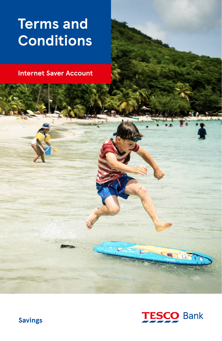# **Terms and Conditions**

**Internet Saver Account**



 $16$ 

**Savings**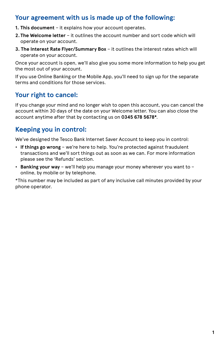### **Your agreement with us is made up of the following:**

- **1. This document** it explains how your account operates.
- **2. The Welcome letter** it outlines the account number and sort code which will operate on your account.
- **3. The Interest Rate Flyer/Summary Box** it outlines the interest rates which will operate on your account.

Once your account is open, we'll also give you some more information to help you get the most out of your account.

If you use Online Banking or the Mobile App, you'll need to sign up for the separate terms and conditions for those services.

### **Your right to cancel:**

If you change your mind and no longer wish to open this account, you can cancel the account within 30 days of the date on your Welcome letter. You can also close the account anytime after that by contacting us on **0345 678 5678\***.

### **Keeping you in control:**

We've designed the Tesco Bank Internet Saver Account to keep you in control:

- **If things go wrong** we're here to help. You're protected against fraudulent transactions and we'll sort things out as soon as we can. For more information please see the 'Refunds' section.
- **Banking your way** we'll help you manage your money wherever you want to online, by mobile or by telephone.

\*This number may be included as part of any inclusive call minutes provided by your phone operator.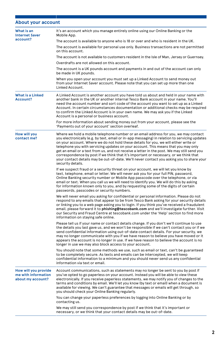### **About your account**

| What is an<br><b>Internet Saver</b>                              | It's an account which you manage entirely online using our Online Banking or the<br>Mobile App.                                                                                                                                                                                                                                                                                                                                                                                                                                                                                                                                                                              |
|------------------------------------------------------------------|------------------------------------------------------------------------------------------------------------------------------------------------------------------------------------------------------------------------------------------------------------------------------------------------------------------------------------------------------------------------------------------------------------------------------------------------------------------------------------------------------------------------------------------------------------------------------------------------------------------------------------------------------------------------------|
| account?                                                         | The account is available to anyone who is 18 or over and who is resident in the UK.                                                                                                                                                                                                                                                                                                                                                                                                                                                                                                                                                                                          |
|                                                                  | The account is available for personal use only. Business transactions are not permitted<br>on this account.                                                                                                                                                                                                                                                                                                                                                                                                                                                                                                                                                                  |
|                                                                  | The account is not available to customers resident in the Isle of Man, Jersey or Guernsey.                                                                                                                                                                                                                                                                                                                                                                                                                                                                                                                                                                                   |
|                                                                  | Overdrafts are not allowed on this account.                                                                                                                                                                                                                                                                                                                                                                                                                                                                                                                                                                                                                                  |
|                                                                  | The account is a UK pounds account and payments in and out of the account can only<br>be made in UK pounds.                                                                                                                                                                                                                                                                                                                                                                                                                                                                                                                                                                  |
|                                                                  | When you open your account you must set up a Linked Account to send money out<br>from your Internet Saver account. Please note that you can set up more than one<br>Linked Account.                                                                                                                                                                                                                                                                                                                                                                                                                                                                                          |
| <b>What is a Linked</b><br>Account?                              | A Linked Account is another account you have told us about and held in your name with<br>another bank in the UK or another internal Tesco Bank account in your name. You'll<br>need the account number and sort code of the account you want to set up as a Linked<br>Account. In certain circumstances documentation or additional checks may be required<br>to confirm the Linked Account is in your own name. We may ask you if the Linked<br>Account is a personal or business account.                                                                                                                                                                                  |
|                                                                  | For more information about sending money out from your account, please see the<br>'Payments out of your account' section overleaf.                                                                                                                                                                                                                                                                                                                                                                                                                                                                                                                                           |
| How will you<br>contact me?                                      | Where we hold a mobile telephone number or an email address for you, we may contact<br>you electronically (e.g. by text, email or in-app messaging) in relation to servicing updates<br>on your account. Where we do not hold these details for you, we will either write or<br>telephone you with servicing updates on your account. This means that you may only<br>get an email or a text from us, and not receive a letter in the post. We may still send you<br>correspondence by post if we think that it's important or necessary, or we think that<br>your contact details may be out-of-date. We'll never contact you asking you to share your<br>security details. |
|                                                                  | If we suspect fraud or a security threat on your account, we will let you know by<br>text, telephone, email or letter. We will never ask you for your full PIN, password,<br>Online Banking security number or Mobile App passcode over the telephone, or via<br>email or text. When you call us we will need to identify you. We will do this by asking<br>for information known only to you, and by requesting some of the digits of certain<br>passwords, passcodes or security numbers.                                                                                                                                                                                  |
|                                                                  | We will never email you asking for confidential or personal information. Please do not<br>respond to any emails that appear to be from Tesco Bank asking for your security details<br>or linking you to a web page asking you to login. If you think you've received a fraudulent<br>email, please forward it to phishing@tescobank.com and we'll investigate further. Visit<br>our Security and Fraud Centre at tescobank.com under the 'Help' section to find more<br>information on staying safe online.                                                                                                                                                                  |
|                                                                  | Please tell us if your name or contact details change. If you don't we'll continue to use<br>the details you last gave us, and we won't be responsible if we can't contact you or if we<br>send confidential information using out-of-date contact details. For your security, we<br>may no longer communicate with you if we have reason to believe you have moved or it<br>appears the account is no longer in use. If we have reason to believe the account is no<br>longer in use we may also block access to your account.                                                                                                                                              |
|                                                                  | You should note that some methods we use, such as email or text, can't be guaranteed<br>to be completely secure. As texts and emails can be intercepted, we will keep<br>confidential information to a minimum and you should never send us any confidential<br>information via text or email.                                                                                                                                                                                                                                                                                                                                                                               |
| How will you provide<br>me with information<br>about my account? | Account communications, such as statements may no longer be sent to you by post if<br>you've opted to go paperless on your account. Instead you will be able to view these<br>electronically. If you receive paperless statements, we may notify you of changes to the<br>terms and conditions by email. We'll let you know (by text or email) when a document is<br>available for viewing. We can't guarantee that messages or emails will get through, so<br>you should check your Online Banking regularly.                                                                                                                                                               |
|                                                                  | You can change your paperless preferences by logging into Online Banking or by<br>contacting us.                                                                                                                                                                                                                                                                                                                                                                                                                                                                                                                                                                             |
|                                                                  | We may still send you correspondence by post if we think that it's important or<br>necessary, or we think that your contact details may be out-of-date.                                                                                                                                                                                                                                                                                                                                                                                                                                                                                                                      |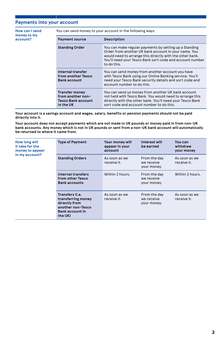#### **Payments into your account**

**How can I send money to my account?**

You can send money to your account in the following ways:

| <b>Payment source</b>                                                                | Description                                                                                                                                                                                                                                           |
|--------------------------------------------------------------------------------------|-------------------------------------------------------------------------------------------------------------------------------------------------------------------------------------------------------------------------------------------------------|
| <b>Standing Order</b>                                                                | You can make regular payments by setting up a Standing<br>Order from another UK bank account in your name. You<br>would need to arrange this directly with the other bank.<br>You'll need your Tesco Bank sort code and account number<br>to do this. |
| Internal transfer<br>from another Tesco<br><b>Bank account</b>                       | You can send money from another account you have<br>with Tesco Bank using our Online Banking service. You'll<br>need your Tesco Bank security details and sort code and<br>account number to do this.                                                 |
| <b>Transfer money</b><br>from another non-<br><b>Tesco Bank account</b><br>in the UK | You can send us money from another UK bank account<br>not held with Tesco Bank. You would need to arrange this<br>directly with the other bank. You'll need your Tesco Bank<br>sort code and account number to do this.                               |

**Your account is a savings account and wages, salary, benefits or pension payments should not be paid directly into it.**

**Your account does not accept payments which are not made in UK pounds or money paid in from non-UK bank accounts. Any money which is not in UK pounds or sent from a non-UK bank account will automatically be returned to where it came from.**

| How long will<br>it take for the<br>money to appear<br>in my account? | <b>Type of Payment</b>                                                                                           | Your money will<br>appear in your<br>account | Interest will<br>be earned                | You can<br>withdraw<br>your money |
|-----------------------------------------------------------------------|------------------------------------------------------------------------------------------------------------------|----------------------------------------------|-------------------------------------------|-----------------------------------|
|                                                                       | <b>Standing Orders</b>                                                                                           | As soon as we<br>receive it.                 | From the day<br>we receive<br>your money. | As soon as we<br>receive it.      |
|                                                                       | Internal transfers<br>from other Tesco<br><b>Bank accounts</b>                                                   | Within 2 hours.                              | From the day<br>we receive<br>your money. | Within 2 hours.                   |
|                                                                       | Transfers (i.e.<br>transferring money<br>directly from<br>another non-Tesco<br><b>Bank account in</b><br>the UK) | As soon as we<br>receive it.                 | From the day<br>we receive<br>your money. | As soon as we<br>receive it.      |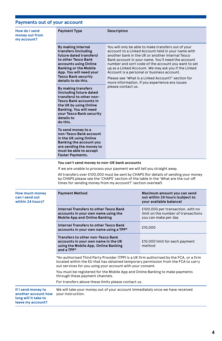### **Payments out of your account**

| How do I send<br>money out from<br>my account?                                         | <b>Payment Type</b>                                                                                                                                                                                                                         | Description                                                                                                                                                                                                                                                                                                                                                                                                                                                                                                    |                                                                                                  |  |
|----------------------------------------------------------------------------------------|---------------------------------------------------------------------------------------------------------------------------------------------------------------------------------------------------------------------------------------------|----------------------------------------------------------------------------------------------------------------------------------------------------------------------------------------------------------------------------------------------------------------------------------------------------------------------------------------------------------------------------------------------------------------------------------------------------------------------------------------------------------------|--------------------------------------------------------------------------------------------------|--|
|                                                                                        | By making internal<br>transfers (including<br>future dated transfers)<br>to other Tesco Bank<br>accounts using Online<br><b>Banking or the Mobile</b><br>App. You will need your<br><b>Tesco Bank security</b><br>details to do this.       | You will only be able to make transfers out of your<br>account to a Linked Account held in your name with<br>another bank in the UK or another internal Tesco<br>Bank account in your name. You'll need the account<br>number and sort code of the account you want to set<br>up as a Linked Account. We may ask you if the Linked<br>Account is a personal or business account.<br>Please see 'What is a Linked Account?' section for<br>more information. If you experience any issues<br>please contact us. |                                                                                                  |  |
|                                                                                        | By making transfers<br>(including future dated<br>transfers) to other non-<br><b>Tesco Bank accounts in</b><br>the UK by using Online<br>Banking. You will need<br>your Tesco Bank security<br>details to<br>do this.                       |                                                                                                                                                                                                                                                                                                                                                                                                                                                                                                                |                                                                                                  |  |
|                                                                                        | To send money to a<br>non-Tesco Bank account<br>in the UK using Online<br>Banking the account you<br>are sending the money to<br>must be able to accept<br><b>Faster Payments.</b>                                                          |                                                                                                                                                                                                                                                                                                                                                                                                                                                                                                                |                                                                                                  |  |
|                                                                                        | You can't send money to non-UK bank accounts                                                                                                                                                                                                |                                                                                                                                                                                                                                                                                                                                                                                                                                                                                                                |                                                                                                  |  |
|                                                                                        | If we are unable to process your payment we will tell you straight away.                                                                                                                                                                    |                                                                                                                                                                                                                                                                                                                                                                                                                                                                                                                |                                                                                                  |  |
|                                                                                        | All transfers over £100,000 must be sent by CHAPS (for details of sending your money<br>by CHAPS please see the 'CHAPS' section of the table in the 'What are the cut-off<br>times for sending money from my account?' section overleaf).   |                                                                                                                                                                                                                                                                                                                                                                                                                                                                                                                |                                                                                                  |  |
| <b>How much money</b><br>can I send out<br>within 24 hours?                            | <b>Payment Method</b>                                                                                                                                                                                                                       |                                                                                                                                                                                                                                                                                                                                                                                                                                                                                                                | Maximum amount you can send<br>out within 24 hours (subject to<br>your available balance)        |  |
|                                                                                        | Internal Transfers to other Tesco Bank<br>accounts in your own name using the<br><b>Mobile App and Online Banking</b>                                                                                                                       |                                                                                                                                                                                                                                                                                                                                                                                                                                                                                                                | £100,000 per transaction, with no<br>limit on the number of transactions<br>you can make per day |  |
|                                                                                        | Internal Transfers to other Tesco Bank<br>accounts in your own name using a TPP*                                                                                                                                                            |                                                                                                                                                                                                                                                                                                                                                                                                                                                                                                                | £10,000                                                                                          |  |
|                                                                                        | Transfers to other non-Tesco Bank<br>accounts in your own name in the UK<br>using the Mobile App, Online Banking<br>and a TPP*                                                                                                              |                                                                                                                                                                                                                                                                                                                                                                                                                                                                                                                | £10,000 limit for each payment<br>method                                                         |  |
|                                                                                        | *An authorised Third Party Provider (TPP) is a UK firm authorised by the FCA, or a firm<br>located within the EU that has obtained temporary permission from the FCA to carry<br>out services for you using your account with your consent. |                                                                                                                                                                                                                                                                                                                                                                                                                                                                                                                |                                                                                                  |  |
|                                                                                        | You must be registered for the Mobile App and Online Banking to make payments<br>through these payment channels.                                                                                                                            |                                                                                                                                                                                                                                                                                                                                                                                                                                                                                                                |                                                                                                  |  |
|                                                                                        | For transfers above these limits please contact us.                                                                                                                                                                                         |                                                                                                                                                                                                                                                                                                                                                                                                                                                                                                                |                                                                                                  |  |
| If I send money to<br>another account how<br>long will it take to<br>leave my account? | your instruction.                                                                                                                                                                                                                           |                                                                                                                                                                                                                                                                                                                                                                                                                                                                                                                | We will take your money out of your account immediately once we have received                    |  |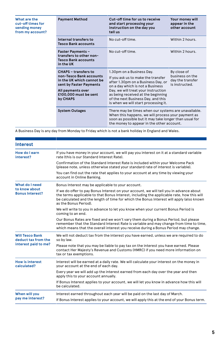| What are the<br>cut-off times for<br>sending money<br>from my account? | <b>Payment Method</b>                                                                                                                                                    | Cut-off time for us to receive<br>and start processing your<br>instruction on the day you<br>tell us                                                                                                                                                                                                 | Your money will<br>appear in the<br>other account                    |
|------------------------------------------------------------------------|--------------------------------------------------------------------------------------------------------------------------------------------------------------------------|------------------------------------------------------------------------------------------------------------------------------------------------------------------------------------------------------------------------------------------------------------------------------------------------------|----------------------------------------------------------------------|
|                                                                        | Internal transfers to<br><b>Tesco Bank accounts</b>                                                                                                                      | No cut-off time                                                                                                                                                                                                                                                                                      | Within 2 hours.                                                      |
|                                                                        | <b>Faster Payments -</b><br>transfers to other non-<br><b>Tesco Bank accounts</b><br>in the UK                                                                           | No cut-off time.                                                                                                                                                                                                                                                                                     | Within 2 hours.                                                      |
|                                                                        | <b>CHAPS - transfers to</b><br>non-Tesco Bank accounts<br>in the UK which cannot be<br>sent by Faster Payments<br>All payments over<br>£100,000 must be sent<br>by CHAPS | 1.30pm on a Business Day.<br>If you ask us to make the transfer<br>after 1.30pm on a Business Day, or<br>on a day which is not a Business<br>Day, we will treat your instruction<br>as being received at the beginning<br>of the next Business Day, and this<br>is when we will start processing it. | By close of<br>business on the<br>day the transfer<br>is instructed. |
|                                                                        | <b>System Outages</b>                                                                                                                                                    | There may be times when our systems are unavailable.<br>When this happens, we will process your payment as<br>soon as possible but it may take longer than usual for<br>the money to appear in the other account.                                                                                    |                                                                      |

A Business Day is any day from Monday to Friday which is not a bank holiday in England and Wales.

| <b>Interest</b>                               |                                                                                                                                                                                                                                                                                                           |
|-----------------------------------------------|-----------------------------------------------------------------------------------------------------------------------------------------------------------------------------------------------------------------------------------------------------------------------------------------------------------|
| How do I earn<br>interest?                    | If you have money in your account, we will pay you interest on it at a standard variable<br>rate (this is our Standard Interest Rate).                                                                                                                                                                    |
|                                               | Confirmation of the Standard Interest Rate is included within your Welcome Pack<br>(please note, unless otherwise stated your standard rate of interest is variable).                                                                                                                                     |
|                                               | You can find out the rate that applies to your account at any time by viewing your<br>account in Online Banking.                                                                                                                                                                                          |
| What do I need                                | Bonus Interest may be applicable to your account.                                                                                                                                                                                                                                                         |
| to know about<br><b>Bonus Interest?</b>       | If we do offer to pay Bonus Interest on your account, we will tell you in advance about<br>the terms applicable to that Bonus Interest, including the applicable rate, how this will<br>be calculated and the length of time for which the Bonus Interest will apply (also known<br>as the Bonus Period). |
|                                               | We will write to you in advance to let you know when your current Bonus Period is<br>coming to an end.                                                                                                                                                                                                    |
|                                               | Our Bonus Rates are fixed and we won't vary them during a Bonus Period, but please<br>remember that the Standard Interest Rate is variable and may change from time to time,<br>which means that the overall interest you receive during a Bonus Period may change.                                       |
| <b>Will Tesco Bank</b><br>deduct tax from the | We will not deduct tax from the interest you have earned, unless we are required to do<br>so by law.                                                                                                                                                                                                      |
| interest paid to me?                          | Please note that you may be liable to pay tax on the interest you have earned. Please<br>contact Her Majesty's Revenue and Customs (HMRC) if you need more information on<br>tax or tax exemptions.                                                                                                       |
| <b>How is interest</b><br>calculated?         | Interest will be earned at a daily rate. We will calculate your interest on the money in<br>your account at the end of each day.                                                                                                                                                                          |
|                                               | Every year we will add up the interest earned from each day over the year and then<br>apply this to your account annually.                                                                                                                                                                                |
|                                               | If Bonus Interest applies to your account, we will let you know in advance how this will<br>be calculated.                                                                                                                                                                                                |
| When will you                                 | Interest earned throughout each year will be paid on the last day of March.                                                                                                                                                                                                                               |
| pay me interest?                              | If Bonus Interest applies to your account, we will apply this at the end of your Bonus term.                                                                                                                                                                                                              |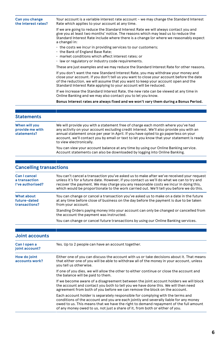| Can you change<br>the interest rates?           | Your account is a variable interest rate account - we may change the Standard Interest<br>Rate which applies to your account at any time.                                                                                                                                                                                                                                              |
|-------------------------------------------------|----------------------------------------------------------------------------------------------------------------------------------------------------------------------------------------------------------------------------------------------------------------------------------------------------------------------------------------------------------------------------------------|
|                                                 | If we are going to reduce the Standard Interest Rate we will always contact you and<br>give you at least two months' notice. The reasons which may lead us to reduce the<br>Standard Interest Rate include where there is a change (or where we reasonably expect<br>a change) in:                                                                                                     |
|                                                 | • the costs we incur in providing services to our customers;<br>• the Bank of England Base Rate;                                                                                                                                                                                                                                                                                       |
|                                                 | · market conditions which affect interest rates; or<br>· law or regulatory or industry code requirements.                                                                                                                                                                                                                                                                              |
|                                                 | These are just examples and we may reduce the Standard Interest Rate for other reasons.                                                                                                                                                                                                                                                                                                |
|                                                 | If you don't want the new Standard Interest Rate, you may withdraw your money and<br>close your account. If you don't tell us you want to close your account before the date<br>of the reduction, we will assume that you want to keep your account open and the<br>Standard Interest Rate applying to your account will be reduced.                                                   |
|                                                 | If we increase the Standard Interest Rate, the new rate can be viewed at any time in<br>Online Banking and we may also contact you to let you know.                                                                                                                                                                                                                                    |
|                                                 | Bonus Interest rates are always fixed and we won't vary them during a Bonus Period.                                                                                                                                                                                                                                                                                                    |
|                                                 |                                                                                                                                                                                                                                                                                                                                                                                        |
| <b>Statements</b>                               |                                                                                                                                                                                                                                                                                                                                                                                        |
| When will you<br>provide me with<br>statements? | We will provide you with a statement free of charge each month where you've had<br>any activity on your account excluding credit interest. We'll also provide you with an<br>annual statement once per year in April. If you have opted to go paperless on your<br>account, we'll contact you by email or text to let you know that your statement is ready<br>to view electronically. |
|                                                 | You can view your account balance at any time by using our Online Banking service.<br>Account statements can also be downloaded by logging into Online Banking.                                                                                                                                                                                                                        |
|                                                 |                                                                                                                                                                                                                                                                                                                                                                                        |

### **Cancelling transactions**

| <b>Can I cancel</b><br>a transaction<br>I've authorised? | You can't cancel a transaction you've asked us to make after we've received your request<br>unless it's for a future date. However, if you contact us we'll do what we can to try and<br>recover the payment. We may charge you any reasonable costs we incur in doing this,<br>which would be proportionate to the work carried out. We'll tell you before we do this. |
|----------------------------------------------------------|-------------------------------------------------------------------------------------------------------------------------------------------------------------------------------------------------------------------------------------------------------------------------------------------------------------------------------------------------------------------------|
| <b>What about</b><br>future-dated<br>transactions?       | You can change or cancel a transaction you've asked us to make on a date in the future<br>at any time before close of business on the day before the payment is due to be taken<br>from your account.                                                                                                                                                                   |
|                                                          | Standing Orders paying money into your account can only be changed or cancelled from<br>the account the payment was instructed.                                                                                                                                                                                                                                         |
|                                                          | You can change or cancel future transactions by using our Online Banking services.                                                                                                                                                                                                                                                                                      |

| Joint accounts                 |                                                                                                                                                                                                                                                                                                                                                 |
|--------------------------------|-------------------------------------------------------------------------------------------------------------------------------------------------------------------------------------------------------------------------------------------------------------------------------------------------------------------------------------------------|
| Can I open a<br>joint account? | Yes. Up to 2 people can have an account together.                                                                                                                                                                                                                                                                                               |
| How do joint<br>accounts work? | Either one of you can discuss the account with us or take decisions about it. That means<br>that either one of you will be able to withdraw all of the money in your account, unless<br>vou tell us otherwise.                                                                                                                                  |
|                                | If one of you dies, we will allow the other to either continue or close the account and<br>the balance will be paid to them.                                                                                                                                                                                                                    |
|                                | If we become aware of a disagreement between the joint account holders we will block<br>the account and contact you both to tell you we have done this. We will then need<br>agreement from both of you before we can remove the block on the account.                                                                                          |
|                                | Each account holder is separately responsible for complying with the terms and<br>conditions of the account and you are each jointly and severally liable for any money<br>owed to us. This means that we have the right to demand repayment of the full amount<br>of any money owed to us, not just a share of it, from both or either of you. |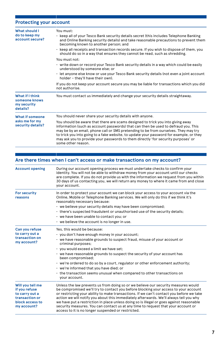### **Protecting your account**

| <b>What should I</b><br>do to keep my<br>account secure?    | You must:<br>• keep all of your Tesco Bank security details secret (this includes Telephone Banking<br>and Online Banking security details) and take reasonable precautions to prevent them<br>becoming known to another person; and                                                                                                                                                                                                                               |
|-------------------------------------------------------------|--------------------------------------------------------------------------------------------------------------------------------------------------------------------------------------------------------------------------------------------------------------------------------------------------------------------------------------------------------------------------------------------------------------------------------------------------------------------|
|                                                             | · keep all receipts and transaction records secure. If you wish to dispose of them, you<br>should do so in a way that ensures they cannot be read, such as shredding.                                                                                                                                                                                                                                                                                              |
|                                                             | You must not:                                                                                                                                                                                                                                                                                                                                                                                                                                                      |
|                                                             | • write down or record your Tesco Bank security details in a way which could be easily<br>understood by someone else; or                                                                                                                                                                                                                                                                                                                                           |
|                                                             | · let anyone else know or use your Tesco Bank security details (not even a joint account<br>holder - they'll have their own).                                                                                                                                                                                                                                                                                                                                      |
|                                                             | If you do not keep your account secure you may be liable for transactions which you did<br>not authorise.                                                                                                                                                                                                                                                                                                                                                          |
| What if I think<br>someone knows<br>my security<br>details? | You must contact us immediately and change your security details straightaway.                                                                                                                                                                                                                                                                                                                                                                                     |
| What if someone<br>asks me for my<br>security details?      | You should never share your security details with anyone.                                                                                                                                                                                                                                                                                                                                                                                                          |
|                                                             | You should be aware that there are scams designed to trick you into giving away<br>information (such as account passwords) that can then be used to defraud you. This<br>may be by an email, phone call or SMS pretending to be from ourselves. They may try<br>to trick you into going to a fake website, to update your password for example, or they<br>may ask you to provide your passwords to them directly 'for security purposes' or<br>some other reason. |

### **Are there times when I can't access or make transactions on my account?**

| <b>Account opening</b>                                                                                  | During our account opening process we must undertake checks to confirm your<br>identity. You will not be able to withdraw money from your account until our checks<br>are complete. If you do not provide us with the information we request from you within<br>30 days of us contacting you, we will return any money to where it came from and close<br>your account.                                                                                                                                                                                                                                |
|---------------------------------------------------------------------------------------------------------|--------------------------------------------------------------------------------------------------------------------------------------------------------------------------------------------------------------------------------------------------------------------------------------------------------------------------------------------------------------------------------------------------------------------------------------------------------------------------------------------------------------------------------------------------------------------------------------------------------|
| <b>For security</b><br>reasons                                                                          | In order to protect your account we can block your access to your account via the<br>Online, Mobile or Telephone Banking services. We will only do this if we think it's<br>reasonably necessary because:<br>• we believe your security details may have been compromised;<br>· there's suspected fraudulent or unauthorised use of the security details;<br>• we have been unable to contact you; or<br>$\cdot$ we believe the account is no longer in use.                                                                                                                                           |
| Can you refuse<br>to carry out a<br>transaction on<br>my account?                                       | Yes, this would be because:<br>· you don't have enough money in your account;<br>• we have reasonable grounds to suspect fraud, misuse of your account or<br>criminal purposes;<br>· you would exceed a limit we have set;<br>• we have reasonable grounds to suspect the security of your account has<br>been compromised;<br>• we're ordered to do so by a court, regulator or other enforcement authority;<br>• we're informed that you have died; or<br>• the transaction seems unusual when compared to other transactions on<br>your account.                                                    |
| Will you tell me<br>if you refuse<br>to carry out a<br>transaction or<br>block access to<br>my account? | Unless the law prevents us from doing so or we believe our security measures would<br>be compromised we'll try to contact you before blocking your access to your account<br>or restricting your ability to make transactions. If we can't contact you before we take<br>action we will notify you about this immediately afterwards. We'll always tell you why<br>we have put a restriction in place unless doing so is illegal or goes against reasonable<br>security measures. You can contact us at any time to request that your account or<br>access to it is no longer suspended or restricted. |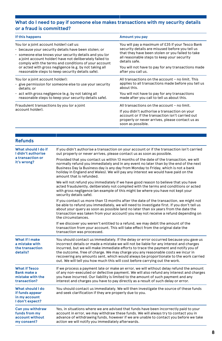#### **What do I need to pay if someone else makes transactions with my security details or a fraud is committed?**

| If this happens                                                    | Amount you pay                                                                                                                                                           |  |
|--------------------------------------------------------------------|--------------------------------------------------------------------------------------------------------------------------------------------------------------------------|--|
| You (or a joint account holder) call us:                           | You will pay a maximum of £35 if your Tesco Bank                                                                                                                         |  |
| · because your security details have been stolen; or               | security details are misused before you tell us                                                                                                                          |  |
| · someone else knows your security details and you (or             | that they have been stolen or you failed to take                                                                                                                         |  |
| a joint account holder) have not deliberately failed to            | all reasonable steps to keep your security                                                                                                                               |  |
| comply with the terms and conditions of your account               | details safe.                                                                                                                                                            |  |
| or acted with gross negligence (e.g. by not taking all             | You will not have to pay for any transactions made                                                                                                                       |  |
| reasonable steps to keep security details safe).                   | after you call us.                                                                                                                                                       |  |
| You (or a joint account holder):                                   | All transactions on the account - no limit. This                                                                                                                         |  |
| example is a give permission for someone else to use your security | applies to all transactions made before you tell us                                                                                                                      |  |
| details: or                                                        | about this.                                                                                                                                                              |  |
| $\cdot$ act with gross negligence (e.g. by not taking all          | You will not have to pay for any transactions                                                                                                                            |  |
| reasonable steps to keep your security details safe).              | made after you call to tell us about this.                                                                                                                               |  |
| Fraudulent transactions by you (or a joint                         | All transactions on the account - no limit.                                                                                                                              |  |
| account holder).                                                   | If you didn't authorise a transaction on your<br>account or if the transaction isn't carried out<br>properly or never arrives, please contact us as<br>soon as possible. |  |

| <b>Refunds</b>                                                               |                                                                                                                                                                                                                                                                                                                                                                                                                                                                                                                                  |
|------------------------------------------------------------------------------|----------------------------------------------------------------------------------------------------------------------------------------------------------------------------------------------------------------------------------------------------------------------------------------------------------------------------------------------------------------------------------------------------------------------------------------------------------------------------------------------------------------------------------|
| What should I do if<br>I didn't authorise<br>a transaction or<br>it's wrong? | If you didn't authorise a transaction on your account or if the transaction isn't carried<br>out properly or never arrives, please contact us as soon as possible.                                                                                                                                                                                                                                                                                                                                                               |
|                                                                              | Provided that you contact us within 13 months of the date of the transaction, we will<br>normally refund you immediately and in any event no later than by the end of the next<br>Business Day (a Business day is any day from Monday to Friday, which is not a bank<br>holiday in England and Wales). We will pay any interest we would have paid on the<br>amount that is refunded.                                                                                                                                            |
|                                                                              | We will not refund you immediately if we have good reason to believe that you have<br>acted fraudulently, deliberately not complied with the terms and conditions or acted<br>with gross negligence (an example of this might be where you have not kept your<br>security details safe).                                                                                                                                                                                                                                         |
|                                                                              | If you contact us more than 13 months after the date of the transaction, we might not<br>be able to refund you immediately, we will need to investigate first. If you don't tell us<br>about your query as soon as possible (and no later than six years from the date the<br>transaction was taken from your account) you may not receive a refund depending on<br>the circumstances.                                                                                                                                           |
|                                                                              | If we discover you weren't entitled to a refund, we may debit the amount of the<br>transaction from your account. This will take effect from the original date the<br>transaction was processed.                                                                                                                                                                                                                                                                                                                                 |
| What if I make<br>a mistake with<br>the transaction<br>details?              | You should contact us immediately. If the delay or error occurred because you gave us<br>incorrect details or made a mistake we will not be liable for any interest and charges<br>incurred, but we will make immediate efforts to trace the payment and notify you of<br>the outcome, free of charge. We may charge you any reasonable costs we incur in<br>recovering any amounts sent, which would always be proportionate to the work carried<br>out. We will tell you how much this will cost before carrying out the work. |
| <b>What if Tesco</b><br>Bank make a<br>mistake with the<br>transaction?      | If we process a payment late or make an error, we will without delay refund the amount<br>of any non-executed or defective payment. We will also refund any interest and charges<br>you have incurred. Our liability is limited to the amount of such payment and any<br>interest and charges you have to pay directly as a result of such delay or error.                                                                                                                                                                       |
| What should I do<br>if funds appear<br>in my account<br>I don't expect?      | You should contact us immediately. We will then investigate the source of these funds<br>and seek clarification if they are properly due to you.                                                                                                                                                                                                                                                                                                                                                                                 |
| Can you withdraw<br>funds from my<br>account without<br>my consent?          | Yes, in situations where we are advised that funds have been incorrectly paid to your<br>account in error, we may withdraw these funds. We will always try to contact you in<br>advance of withdrawing funds, however if we are unable to contact you before we take<br>action we will notify you immediately afterwards.                                                                                                                                                                                                        |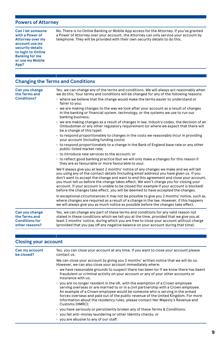#### **Powers of Attorney**

**Can I let someone with a Power of Attorney over my account use my security details to login to Online Banking for me or use my Mobile App?**

No. There is no Online Banking or Mobile App access for the Attorney. If you've granted a Power of Attorney over your account, the Attorney can only service your account by telephone. They will be provided with their own security details to do this.

#### **Changing the Terms and Conditions**

**Can you change the Terms and Conditions?** Yes, we can change any of the terms and conditions. We will always act reasonably when we do this. Your terms and conditions will be changed for any of the following reasons: • where we believe that the change would make the terms easier to understand or fairer to you; • we are making changes to the way we look after your account as a result of changes in the banking or financial system, technology, or the systems we use to run our banking business; • we are making changes as a result of changes in law, industry codes, the decision of an Ombudsman or any other regulatory requirement (or where we expect that there will be a change of this type); • to respond proportionately to changes in the costs we reasonably incur in providing your account (including funding costs); • to respond proportionately to a change in the Bank of England base rate or any other public-listed market rate; • to introduce new services to the account; or • to reflect good banking practice (but we will only make a changes for this reason if they are as favourable or more favourable to you). We'll always give you at least 2 months' notice of any changes we make and we will tell you using any of the contact details (including email address) you have given us. If you don't want to accept the change and want to end this agreement and close your account, you must tell us before the change takes effect. We won't charge you for closing your account. If your account is unable to be closed (for example if your account is blocked) before the changes take effect, you will be deemed to have accepted the changes. In exceptional circumstances it may not be possible to give you 2 months' notice, such as where changes are required as a result of a change in the law. However, if this happens we will always give you as much notice as possible before the changes take effect. **Can you change the Terms and Conditions for other reasons?** Yes, we can change any part of these terms and conditions for any valid reason not stated in these conditions which we tell you at the time, provided that we give you at least 2 months' notice, during which you are free to close your account without charge (provided that you pay off any negative balance on your account during that time).

#### **Closing your account**

| Can my account<br>be closed? | Yes, you can close your account at any time. If you want to close your account please<br>contact us.                                                                                                                                                                                                                                                                                                                                             |
|------------------------------|--------------------------------------------------------------------------------------------------------------------------------------------------------------------------------------------------------------------------------------------------------------------------------------------------------------------------------------------------------------------------------------------------------------------------------------------------|
|                              | We can close your account by giving you 2 months' written notice that we will do so.<br>However, we can also close your account immediately where:                                                                                                                                                                                                                                                                                               |
|                              | • we have reasonable grounds to suspect there has been (or if we know there has been)<br>fraudulent or criminal activity on your account or any of your other accounts or<br>insurance with us:                                                                                                                                                                                                                                                  |
|                              | • you are no longer resident in the UK, with the exemption of a Crown employee<br>serving overseas or are married to or in a civil partnership with a Crown employee.<br>An example of a Crown employee would be someone who is serving in the armed<br>forces overseas and paid out of the public revenue of the United Kingdom. For more<br>information about the residency rules, please contact Her Majesty's Revenue and<br>Customs (HMRC): |
|                              | · you have seriously or persistently broken any of these Terms & Conditions;<br>· you fail anti-money laundering or other identity checks; or                                                                                                                                                                                                                                                                                                    |
|                              | . you are abusive to any of our staff.                                                                                                                                                                                                                                                                                                                                                                                                           |

**9**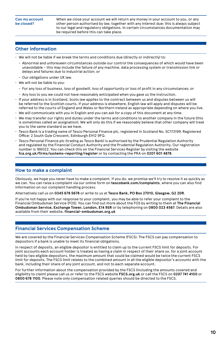When we close your account we will return any money in your account to you, or any other person authorised by law, together with any interest due; this is always subject to our legal and regulatory obligations. In certain circumstances documentation may be required before this can take place.

#### **Other information**

- We will not be liable if we break the terms and conditions due (directly or indirectly) to:
	- Abnormal and unforeseen circumstances outside our control the consequences of which would have been unavoidable – this may include the failure of any machine, data processing system or transmission link or delays and failures due to industrial action; or
	- Our obligations under UK law.
- We will not be liable to you:
	- For any loss of business, loss of goodwill, loss of opportunity or loss of profit in any circumstances; or
- Any loss to you we could not have reasonably anticipated when you gave us the instruction.
- If your address is in Scotland, Scots law applies to the contract between us and disputes between us will be referred to the Scottish courts. If your address is elsewhere, English law will apply and disputes will be referred to the courts of England and Wales or Northern Ireland as appropriate depending on where you live.
- We will communicate with you in English and you can ask for a copy of this document at any time.
- We may transfer our rights and duties under the terms and conditions to another company in the future (this is sometimes called an assignation). We will only do this if we reasonably believe that other company will treat you to the same standard as we have.
- Tesco Bank is a trading name of Tesco Personal Finance plc, registered in Scotland No. SC173199. Registered Office: 2 South Gyle Crescent, Edinburgh EH12 9FQ.
- Tesco Personal Finance plc (trading as Tesco Bank) is authorised by the Prudential Regulation Authority and regulated by the Financial Conduct Authority and the Prudential Regulation Authority. Our registration number is 186022. You can check this on the Financial Services Register by visiting the website **fca.org.uk/firms/systems-reporting/register** or by contacting the PRA on **0207 601 4878**.

#### **How to make a complaint**

Obviously, we hope you never have to make a complaint. If you do, we promise we'll try to resolve it as quickly as we can. You can raise a complaint via our online form on **tescobank.com/complaints**, where you can also find information on our complaint handling process.

Alternatively call us on **0345 678 5678** or write to us at **Tesco Bank, PO Box 27010, Glasgow, G2 2DR**.

If you're not happy with our response to your complaint, you may be able to refer your complaint to the Financial Ombudsman Service (FOS). You can find out more about the FOS by writing to them at **The Financial Ombudsman Service, Exchange Tower, London, E14 9SR** or by telephoning on **0800 023 4567**. Details are also available from their website, **financial-ombudsman.org.uk**

#### **Financial Services Compensation Scheme**

We are covered by the Financial Services Compensation Scheme (FSCS). The FSCS can pay compensation to depositors if a bank is unable to meet its financial obligations.

In respect of deposits, an eligible depositor is entitled to claim up to the current FSCS limit for deposits. For joint accounts each account holder is treated as having a claim in respect of their share so, for a joint account held by two eligible depositors, the maximum amount that could be claimed would be twice the current FSCS limit for deposits. The FSCS limit relates to the combined amount in all the eligible depositor's accounts with the bank, including their share of any joint account, and not to each separate account.

For further information about the compensation provided by the FSCS (including the amounts covered and eligibility to claim) please call us or refer to the FSCS website **FSCS.org.uk** or call the FSCS on **0207 741 4100** or **0800 678 1100**. Please note only compensation related queries should be directed to the FSCS.